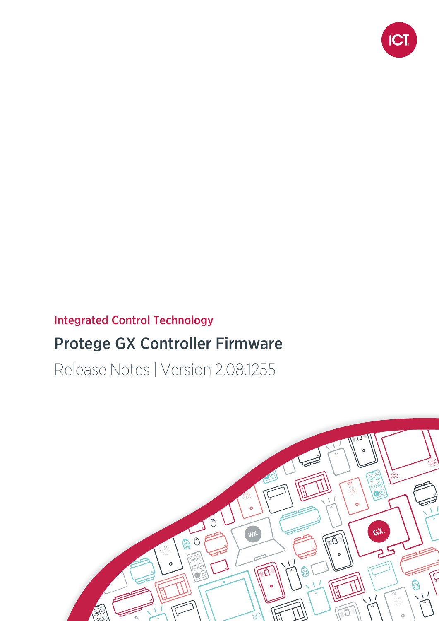

# Integrated Control Technology

# Protege GX Controller Firmware

Release Notes | Version 2.08.1255

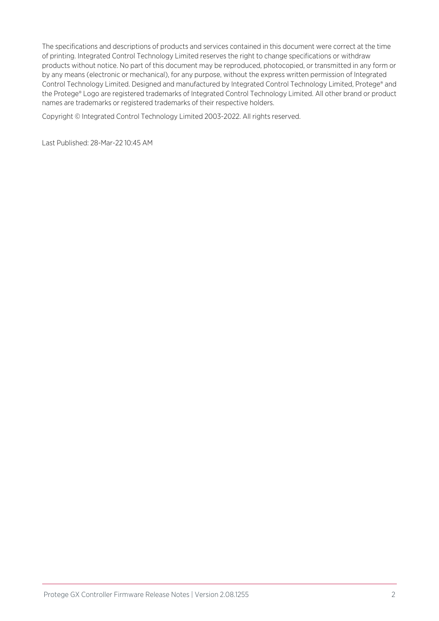The specifications and descriptions of products and services contained in this document were correct at the time of printing. Integrated Control Technology Limited reserves the right to change specifications or withdraw products without notice. No part of this document may be reproduced, photocopied, or transmitted in any form or by any means (electronic or mechanical), for any purpose, without the express written permission of Integrated Control Technology Limited. Designed and manufactured by Integrated Control Technology Limited, Protege® and the Protege® Logo are registered trademarks of Integrated Control Technology Limited. All other brand or product names are trademarks or registered trademarks of their respective holders.

Copyright © Integrated Control Technology Limited 2003-2022. All rights reserved.

Last Published: 28-Mar-22 10:45 AM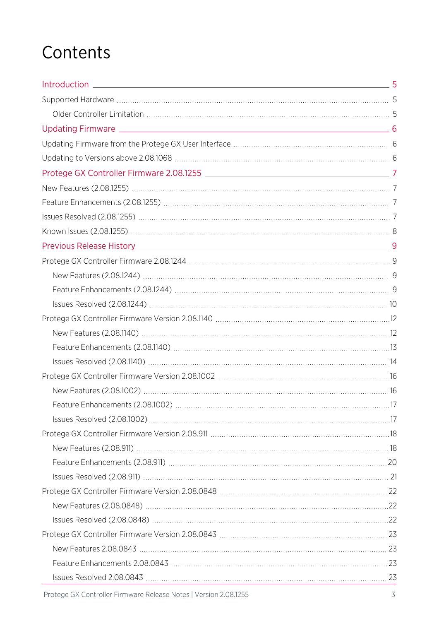# **Contents**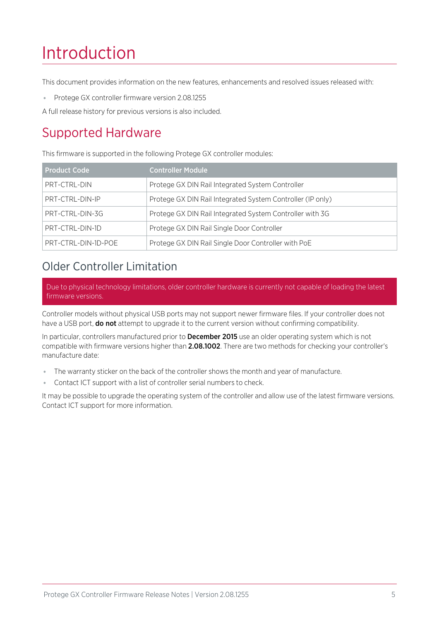# <span id="page-4-0"></span>Introduction

This document provides information on the new features, enhancements and resolved issues released with:

⦁ Protege GX controller firmware version 2.08.1255

<span id="page-4-1"></span>A full release history for previous versions is also included.

# Supported Hardware

This firmware is supported in the following Protege GX controller modules:

| <b>Product Code</b> | <b>Controller Module</b>                                   |
|---------------------|------------------------------------------------------------|
| PRT-CTRL-DIN        | Protege GX DIN Rail Integrated System Controller           |
| PRT-CTRL-DIN-IP     | Protege GX DIN Rail Integrated System Controller (IP only) |
| PRT-CTRL-DIN-3G     | Protege GX DIN Rail Integrated System Controller with 3G   |
| PRT-CTRL-DIN-1D     | Protege GX DIN Rail Single Door Controller                 |
| PRT-CTRL-DIN-1D-POE | Protege GX DIN Rail Single Door Controller with PoE        |

# <span id="page-4-2"></span>Older Controller Limitation

Due to physical technology limitations, older controller hardware is currently not capable of loading the latest firmware versions.

Controller models without physical USB ports may not support newer firmware files. If your controller does not have a USB port, **do not** attempt to upgrade it to the current version without confirming compatibility.

In particular, controllers manufactured prior to **December 2015** use an older operating system which is not compatible with firmware versions higher than 2.08.1002. There are two methods for checking your controller's manufacture date:

- ⦁ The warranty sticker on the back of the controller shows the month and year of manufacture.
- ⦁ Contact ICT support with a list of controller serial numbers to check.

It may be possible to upgrade the operating system of the controller and allow use of the latest firmware versions. Contact ICT support for more information.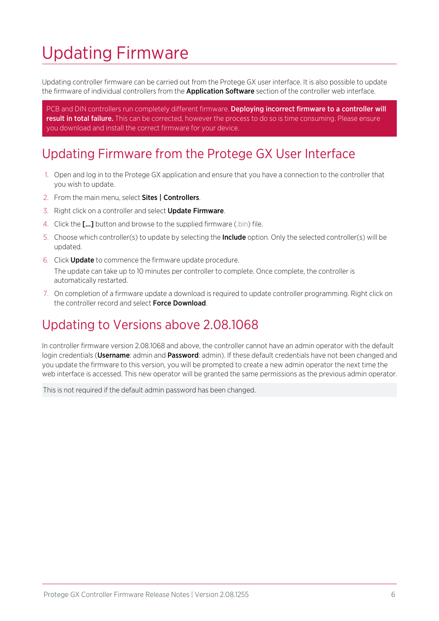# <span id="page-5-0"></span>Updating Firmware

Updating controller firmware can be carried out from the Protege GX user interface. It is also possible to update the firmware of individual controllers from the **Application Software** section of the controller web interface.

PCB and DIN controllers run completely different firmware. Deploying incorrect firmware to a controller will result in total failure. This can be corrected, however the process to do so is time consuming. Please ensure you download and install the correct firmware for your device.

# <span id="page-5-1"></span>Updating Firmware from the Protege GX User Interface

- 1. Open and log in to the Protege GX application and ensure that you have a connection to the controller that you wish to update.
- 2. From the main menu, select Sites | Controllers.
- 3. Right click on a controller and select **Update Firmware**.
- 4. Click the [...] button and browse to the supplied firmware (.bin) file.
- 5. Choose which controller(s) to update by selecting the **Include** option. Only the selected controller(s) will be updated.
- 6. Click Update to commence the firmware update procedure. The update can take up to 10 minutes per controller to complete. Once complete, the controller is automatically restarted.
- <span id="page-5-2"></span>7. On completion of a firmware update a download is required to update controller programming. Right click on the controller record and select Force Download.

# Updating to Versions above 2.08.1068

In controller firmware version 2.08.1068 and above, the controller cannot have an admin operator with the default login credentials (Username: admin and Password: admin). If these default credentials have not been changed and you update the firmware to this version, you will be prompted to create a new admin operator the next time the web interface is accessed. This new operator will be granted the same permissions as the previous admin operator.

This is not required if the default admin password has been changed.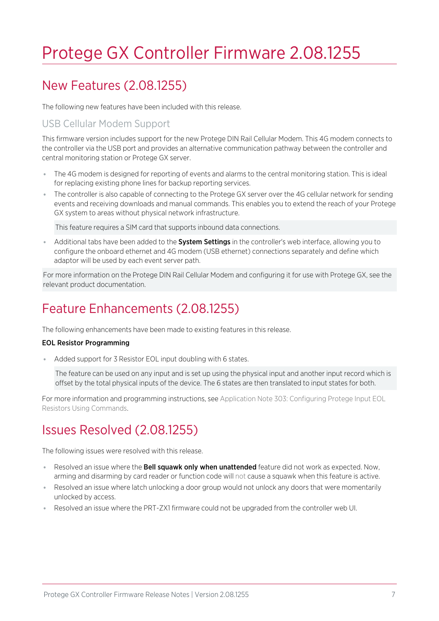# <span id="page-6-0"></span>Protege GX Controller Firmware 2.08.1255

# <span id="page-6-1"></span>New Features (2.08.1255)

The following new features have been included with this release.

### USB Cellular Modem Support

This firmware version includes support for the new Protege DIN Rail Cellular Modem. This 4G modem connects to the controller via the USB port and provides an alternative communication pathway between the controller and central monitoring station or Protege GX server.

- ⦁ The 4G modem is designed for reporting of events and alarms to the central monitoring station. This is ideal for replacing existing phone lines for backup reporting services.
- ⦁ The controller is also capable of connecting to the Protege GX server over the 4G cellular network for sending events and receiving downloads and manual commands. This enables you to extend the reach of your Protege GX system to areas without physical network infrastructure.

This feature requires a SIM card that supports inbound data connections.

Additional tabs have been added to the **System Settings** in the controller's web interface, allowing you to configure the onboard ethernet and 4G modem (USB ethernet) connections separately and define which adaptor will be used by each event server path.

<span id="page-6-2"></span>For more information on the Protege DIN Rail Cellular Modem and configuring it for use with Protege GX, see the relevant product documentation.

# Feature Enhancements (2.08.1255)

The following enhancements have been made to existing features in this release.

#### EOL Resistor Programming

⦁ Added support for 3 Resistor EOL input doubling with 6 states.

The feature can be used on any input and is set up using the physical input and another input record which is offset by the total physical inputs of the device. The 6 states are then translated to input states for both.

<span id="page-6-3"></span>For more information and programming instructions, see Application Note 303: Configuring Protege Input EOL Resistors Using Commands.

# Issues Resolved (2.08.1255)

The following issues were resolved with this release.

- Resolved an issue where the **Bell squawk only when unattended** feature did not work as expected. Now, arming and disarming by card reader or function code will not cause a squawk when this feature is active.
- Resolved an issue where latch unlocking a door group would not unlock any doors that were momentarily unlocked by access.
- Resolved an issue where the PRT-ZX1 firmware could not be upgraded from the controller web UI.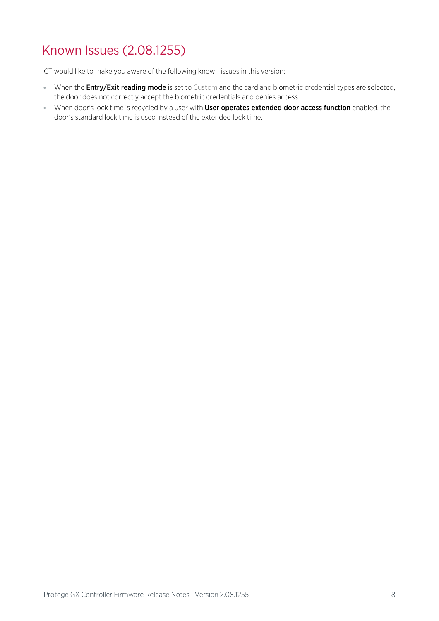# <span id="page-7-0"></span>Known Issues (2.08.1255)

ICT would like to make you aware of the following known issues in this version:

- When the **Entry/Exit reading mode** is set to Custom and the card and biometric credential types are selected, the door does not correctly accept the biometric credentials and denies access.
- ⦁ When door's lock time is recycled by a user with User operates extended door access function enabled, the door's standard lock time is used instead of the extended lock time.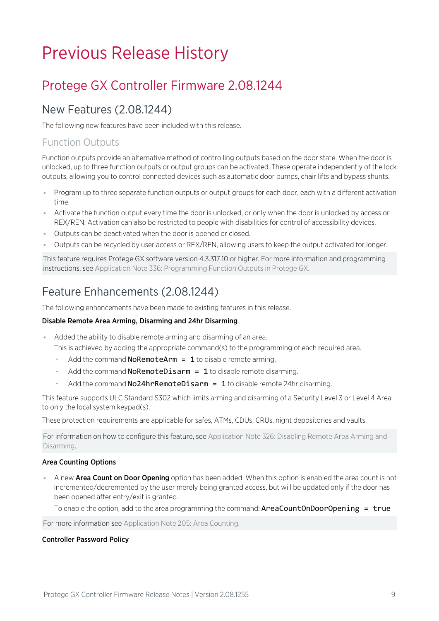# <span id="page-8-0"></span>Previous Release History

# <span id="page-8-2"></span><span id="page-8-1"></span>Protege GX Controller Firmware 2.08.1244

## New Features (2.08.1244)

The following new features have been included with this release.

### Function Outputs

Function outputs provide an alternative method of controlling outputs based on the door state. When the door is unlocked, up to three function outputs or output groups can be activated. These operate independently of the lock outputs, allowing you to control connected devices such as automatic door pumps, chair lifts and bypass shunts.

- ⦁ Program up to three separate function outputs or output groups for each door, each with a different activation time.
- ⦁ Activate the function output every time the door is unlocked, or only when the door is unlocked by access or REX/REN. Activation can also be restricted to people with disabilities for control of accessibility devices.
- ⦁ Outputs can be deactivated when the door is opened or closed.
- ⦁ Outputs can be recycled by user access or REX/REN, allowing users to keep the output activated for longer.

This feature requires Protege GX software version 4.3.317.10 or higher. For more information and programming instructions, see Application Note 336: Programming Function Outputs in Protege GX.

# <span id="page-8-3"></span>Feature Enhancements (2.08.1244)

The following enhancements have been made to existing features in this release.

#### Disable Remote Area Arming, Disarming and 24hr Disarming

- ⦁ Added the ability to disable remote arming and disarming of an area.
	- This is achieved by adding the appropriate command(s) to the programming of each required area.
	- Add the command **NoRemoteArm = 1** to disable remote arming.
	- Add the command **NoRemoteDisarm = 1** to disable remote disarming.
	- Add the command  $No24hrRemoteDisarm = 1$  to disable remote 24hr disarming.

This feature supports ULC Standard S302 which limits arming and disarming of a Security Level 3 or Level 4 Area to only the local system keypad(s).

These protection requirements are applicable for safes, ATMs, CDUs, CRUs, night depositories and vaults.

For information on how to configure this feature, see Application Note 326: Disabling Remote Area Arming and Disarming.

#### Area Counting Options

• A new **Area Count on Door Opening** option has been added. When this option is enabled the area count is not incremented/decremented by the user merely being granted access, but will be updated only if the door has been opened after entry/exit is granted.

To enable the option, add to the area programming the command:  $AreaCountOnDoorOpening = true$ 

For more information see Application Note 205: Area Counting.

#### Controller Password Policy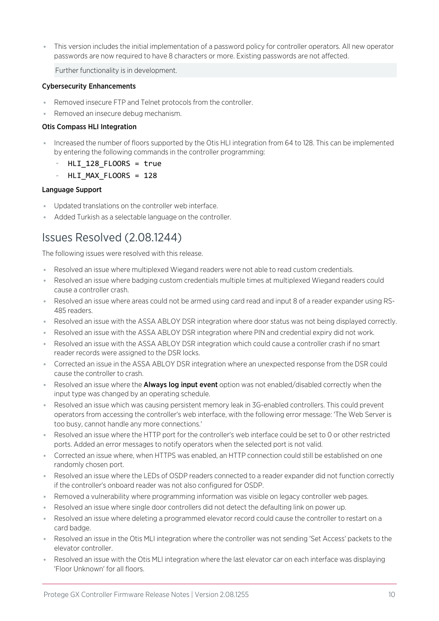⦁ This version includes the initial implementation of a password policy for controller operators. All new operator passwords are now required to have 8 characters or more. Existing passwords are not affected.

Further functionality is in development.

#### Cybersecurity Enhancements

- ⦁ Removed insecure FTP and Telnet protocols from the controller.
- ⦁ Removed an insecure debug mechanism.

#### Otis Compass HLI Integration

- ⦁ Increased the number of floors supported by the Otis HLI integration from 64 to 128. This can be implemented by entering the following commands in the controller programming:
	- $HLI_128$  FLOORS = true
	- HLI\_MAX\_FLOORS = 128

#### Language Support

- ⦁ Updated translations on the controller web interface.
- <span id="page-9-0"></span>⦁ Added Turkish as a selectable language on the controller.

# Issues Resolved (2.08.1244)

The following issues were resolved with this release.

- ⦁ Resolved an issue where multiplexed Wiegand readers were not able to read custom credentials.
- ⦁ Resolved an issue where badging custom credentials multiple times at multiplexed Wiegand readers could cause a controller crash.
- ⦁ Resolved an issue where areas could not be armed using card read and input 8 of a reader expander using RS-485 readers.
- ⦁ Resolved an issue with the ASSA ABLOY DSR integration where door status was not being displayed correctly.
- ⦁ Resolved an issue with the ASSA ABLOY DSR integration where PIN and credential expiry did not work.
- ⦁ Resolved an issue with the ASSA ABLOY DSR integration which could cause a controller crash if no smart reader records were assigned to the DSR locks.
- ⦁ Corrected an issue in the ASSA ABLOY DSR integration where an unexpected response from the DSR could cause the controller to crash.
- Resolved an issue where the **Always log input event** option was not enabled/disabled correctly when the input type was changed by an operating schedule.
- Resolved an issue which was causing persistent memory leak in 3G-enabled controllers. This could prevent operators from accessing the controller's web interface, with the following error message: 'The Web Server is too busy, cannot handle any more connections.'
- ⦁ Resolved an issue where the HTTP port for the controller's web interface could be set to 0 or other restricted ports. Added an error messages to notify operators when the selected port is not valid.
- ⦁ Corrected an issue where, when HTTPS was enabled, an HTTP connection could still be established on one randomly chosen port.
- ⦁ Resolved an issue where the LEDs of OSDP readers connected to a reader expander did not function correctly if the controller's onboard reader was not also configured for OSDP.
- Removed a vulnerability where programming information was visible on legacy controller web pages.
- ⦁ Resolved an issue where single door controllers did not detect the defaulting link on power up.
- ⦁ Resolved an issue where deleting a programmed elevator record could cause the controller to restart on a card badge.
- ⦁ Resolved an issue in the Otis MLI integration where the controller was not sending 'Set Access' packets to the elevator controller.
- Resolved an issue with the Otis MLI integration where the last elevator car on each interface was displaying 'Floor Unknown' for all floors.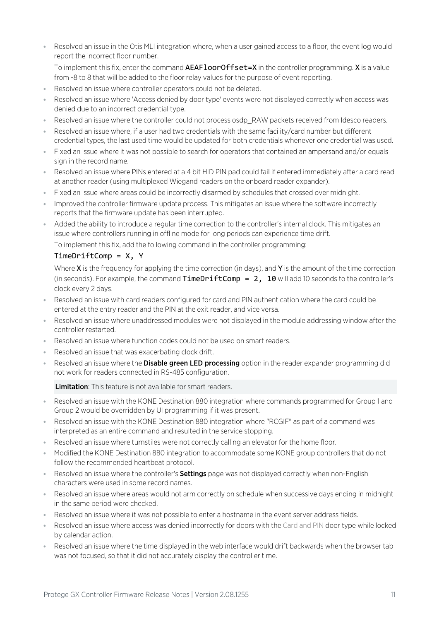- Resolved an issue in the Otis MLI integration where, when a user gained access to a floor, the event log would report the incorrect floor number.
	- To implement this fix, enter the command AEAFloorOffset=X in the controller programming. X is a value from -8 to 8 that will be added to the floor relay values for the purpose of event reporting.
- Resolved an issue where controller operators could not be deleted.
- Resolved an issue where 'Access denied by door type' events were not displayed correctly when access was denied due to an incorrect credential type.
- Resolved an issue where the controller could not process osdp\_RAW packets received from Idesco readers.
- Resolved an issue where, if a user had two credentials with the same facility/card number but different credential types, the last used time would be updated for both credentials whenever one credential was used.
- ⦁ Fixed an issue where it was not possible to search for operators that contained an ampersand and/or equals sign in the record name.
- ⦁ Resolved an issue where PINs entered at a 4 bit HID PIN pad could fail if entered immediately after a card read at another reader (using multiplexed Wiegand readers on the onboard reader expander).
- ⦁ Fixed an issue where areas could be incorrectly disarmed by schedules that crossed over midnight.
- ⦁ Improved the controller firmware update process. This mitigates an issue where the software incorrectly reports that the firmware update has been interrupted.
- Added the ability to introduce a regular time correction to the controller's internal clock. This mitigates an issue where controllers running in offline mode for long periods can experience time drift.

To implement this fix, add the following command in the controller programming:

#### TimeDriftComp = X, Y

Where  $X$  is the frequency for applying the time correction (in days), and  $Y$  is the amount of the time correction (in seconds). For example, the command  $TimeDriftComp = 2$ ,  $10$  will add 10 seconds to the controller's clock every 2 days.

- ⦁ Resolved an issue with card readers configured for card and PIN authentication where the card could be entered at the entry reader and the PIN at the exit reader, and vice versa.
- ⦁ Resolved an issue where unaddressed modules were not displayed in the module addressing window after the controller restarted.
- ⦁ Resolved an issue where function codes could not be used on smart readers.
- ⦁ Resolved an issue that was exacerbating clock drift.
- Resolved an issue where the **Disable green LED processing** option in the reader expander programming did not work for readers connected in RS-485 configuration.

Limitation: This feature is not available for smart readers.

- ⦁ Resolved an issue with the KONE Destination 880 integration where commands programmed for Group 1 and Group 2 would be overridden by UI programming if it was present.
- Resolved an issue with the KONE Destination 880 integration where "RCGIF" as part of a command was interpreted as an entire command and resulted in the service stopping.
- ⦁ Resolved an issue where turnstiles were not correctly calling an elevator for the home floor.
- ⦁ Modified the KONE Destination 880 integration to accommodate some KONE group controllers that do not follow the recommended heartbeat protocol.
- . Resolved an issue where the controller's **Settings** page was not displayed correctly when non-English characters were used in some record names.
- ⦁ Resolved an issue where areas would not arm correctly on schedule when successive days ending in midnight in the same period were checked.
- ⦁ Resolved an issue where it was not possible to enter a hostname in the event server address fields.
- ⦁ Resolved an issue where access was denied incorrectly for doors with the Card and PIN door type while locked by calendar action.
- Resolved an issue where the time displayed in the web interface would drift backwards when the browser tab was not focused, so that it did not accurately display the controller time.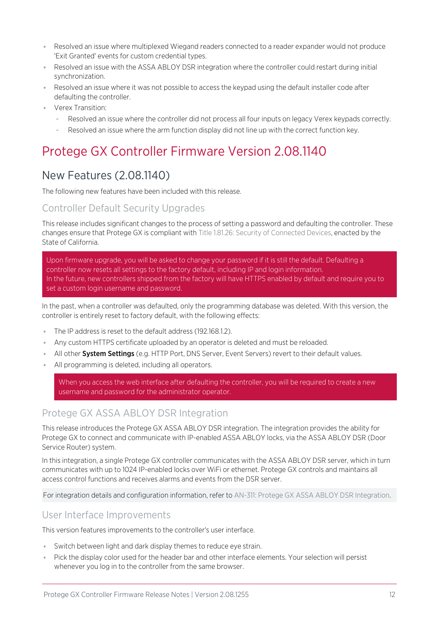- ⦁ Resolved an issue where multiplexed Wiegand readers connected to a reader expander would not produce 'Exit Granted' events for custom credential types.
- ⦁ Resolved an issue with the ASSA ABLOY DSR integration where the controller could restart during initial synchronization.
- ⦁ Resolved an issue where it was not possible to access the keypad using the default installer code after defaulting the controller.
- <span id="page-11-0"></span>⦁ Verex Transition:
	- Resolved an issue where the controller did not process all four inputs on legacy Verex keypads correctly.
	- Resolved an issue where the arm function display did not line up with the correct function key.

# <span id="page-11-1"></span>New Features (2.08.1140)

The following new features have been included with this release.

### Controller Default Security Upgrades

This release includes significant changes to the process of setting a password and defaulting the controller. These changes ensure that Protege GX is compliant with Title 1.81.26: Security of Connected Devices, enacted by the State of California.

Upon firmware upgrade, you will be asked to change your password if it is still the default. Defaulting a controller now resets all settings to the factory default, including IP and login information. In the future, new controllers shipped from the factory will have HTTPS enabled by default and require you to set a custom login username and password.

In the past, when a controller was defaulted, only the programming database was deleted. With this version, the controller is entirely reset to factory default, with the following effects:

- ⦁ The IP address is reset to the default address (192.168.1.2).
- ⦁ Any custom HTTPS certificate uploaded by an operator is deleted and must be reloaded.
- . All other System Settings (e.g. HTTP Port, DNS Server, Event Servers) revert to their default values.
- ⦁ All programming is deleted, including all operators.

When you access the web interface after defaulting the controller, you will be required to create a new username and password for the administrator operator.

### Protege GX ASSA ABLOY DSR Integration

This release introduces the Protege GX ASSA ABLOY DSR integration. The integration provides the ability for Protege GX to connect and communicate with IP-enabled ASSA ABLOY locks, via the ASSA ABLOY DSR (Door Service Router) system.

In this integration, a single Protege GX controller communicates with the ASSA ABLOY DSR server, which in turn communicates with up to 1024 IP-enabled locks over WiFi or ethernet. Protege GX controls and maintains all access control functions and receives alarms and events from the DSR server.

For integration details and configuration information, refer to AN-311: Protege GX ASSA ABLOY DSR Integration.

#### User Interface Improvements

This version features improvements to the controller's user interface.

- ⦁ Switch between light and dark display themes to reduce eye strain.
- ⦁ Pick the display color used for the header bar and other interface elements. Your selection will persist whenever you log in to the controller from the same browser.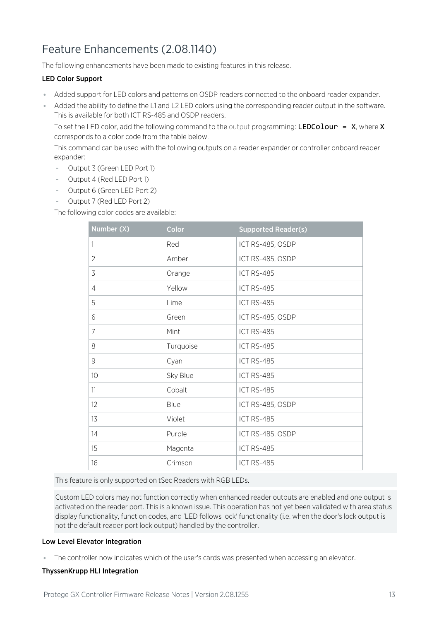# <span id="page-12-0"></span>Feature Enhancements (2.08.1140)

The following enhancements have been made to existing features in this release.

#### LED Color Support

- ⦁ Added support for LED colors and patterns on OSDP readers connected to the onboard reader expander.
- ⦁ Added the ability to define the L1 and L2 LED colors using the corresponding reader output in the software. This is available for both ICT RS-485 and OSDP readers.

To set the LED color, add the following command to the output programming: LEDColour =  $X$ , where X corresponds to a color code from the table below.

This command can be used with the following outputs on a reader expander or controller onboard reader expander:

- Output 3 (Green LED Port 1)
- Output 4 (Red LED Port 1)
- Output 6 (Green LED Port 2)
- Output 7 (Red LED Port 2)

The following color codes are available:

| Number (X)     | Color     | <b>Supported Reader(s)</b> |
|----------------|-----------|----------------------------|
| 1              | Red       | ICT RS-485, OSDP           |
| $\overline{2}$ | Amber     | ICT RS-485, OSDP           |
| 3              | Orange    | ICT RS-485                 |
| $\overline{4}$ | Yellow    | <b>ICT RS-485</b>          |
| 5              | Lime      | ICT RS-485                 |
| 6              | Green     | ICT RS-485, OSDP           |
| $\overline{7}$ | Mint      | <b>ICT RS-485</b>          |
| 8              | Turquoise | ICT RS-485                 |
| 9              | Cyan      | <b>ICT RS-485</b>          |
| 10             | Sky Blue  | ICT RS-485                 |
| 11             | Cobalt    | ICT RS-485                 |
| 12             | Blue      | ICT RS-485, OSDP           |
| 13             | Violet    | ICT RS-485                 |
| 14             | Purple    | ICT RS-485, OSDP           |
| 15             | Magenta   | <b>ICT RS-485</b>          |
| 16             | Crimson   | ICT RS-485                 |

This feature is only supported on tSec Readers with RGB LEDs.

Custom LED colors may not function correctly when enhanced reader outputs are enabled and one output is activated on the reader port. This is a known issue. This operation has not yet been validated with area status display functionality, function codes, and 'LED follows lock' functionality (i.e. when the door's lock output is not the default reader port lock output) handled by the controller.

#### Low Level Elevator Integration

⦁ The controller now indicates which of the user's cards was presented when accessing an elevator.

#### ThyssenKrupp HLI Integration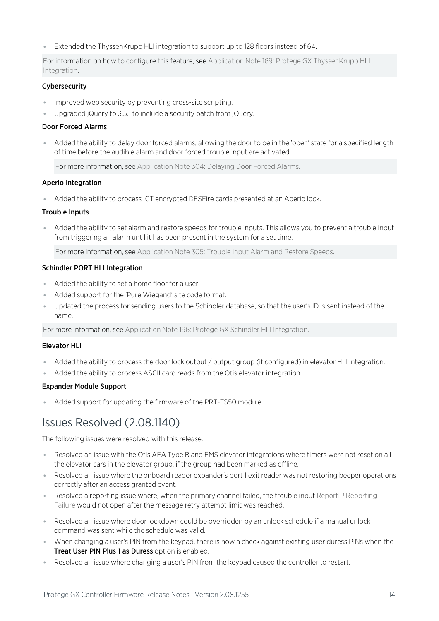⦁ Extended the ThyssenKrupp HLI integration to support up to 128 floors instead of 64.

For information on how to configure this feature, see Application Note 169: Protege GX ThyssenKrupp HLI Integration.

#### Cybersecurity

- ⦁ Improved web security by preventing cross-site scripting.
- Upgraded jQuery to 3.5.1 to include a security patch from jQuery.

#### Door Forced Alarms

⦁ Added the ability to delay door forced alarms, allowing the door to be in the 'open' state for a specified length of time before the audible alarm and door forced trouble input are activated.

For more information, see Application Note 304: Delaying Door Forced Alarms.

#### Aperio Integration

⦁ Added the ability to process ICT encrypted DESFire cards presented at an Aperio lock.

#### Trouble Inputs

⦁ Added the ability to set alarm and restore speeds for trouble inputs. This allows you to prevent a trouble input from triggering an alarm until it has been present in the system for a set time.

For more information, see Application Note 305: Trouble Input Alarm and Restore Speeds.

#### Schindler PORT HLI Integration

- ⦁ Added the ability to set a home floor for a user.
- ⦁ Added support for the 'Pure Wiegand' site code format.
- ⦁ Updated the process for sending users to the Schindler database, so that the user's ID is sent instead of the name.

For more information, see Application Note 196: Protege GX Schindler HLI Integration.

#### Elevator HLI

- ⦁ Added the ability to process the door lock output / output group (if configured) in elevator HLI integration.
- ⦁ Added the ability to process ASCII card reads from the Otis elevator integration.

#### Expander Module Support

<span id="page-13-0"></span>⦁ Added support for updating the firmware of the PRT-TS50 module.

## Issues Resolved (2.08.1140)

The following issues were resolved with this release.

- ⦁ Resolved an issue with the Otis AEA Type B and EMS elevator integrations where timers were not reset on all the elevator cars in the elevator group, if the group had been marked as offline.
- ⦁ Resolved an issue where the onboard reader expander's port 1 exit reader was not restoring beeper operations correctly after an access granted event.
- Resolved a reporting issue where, when the primary channel failed, the trouble input ReportIP Reporting Failure would not open after the message retry attempt limit was reached.
- ⦁ Resolved an issue where door lockdown could be overridden by an unlock schedule if a manual unlock command was sent while the schedule was valid.
- ⦁ When changing a user's PIN from the keypad, there is now a check against existing user duress PINs when the **Treat User PIN Plus 1 as Duress option is enabled.**
- Resolved an issue where changing a user's PIN from the keypad caused the controller to restart.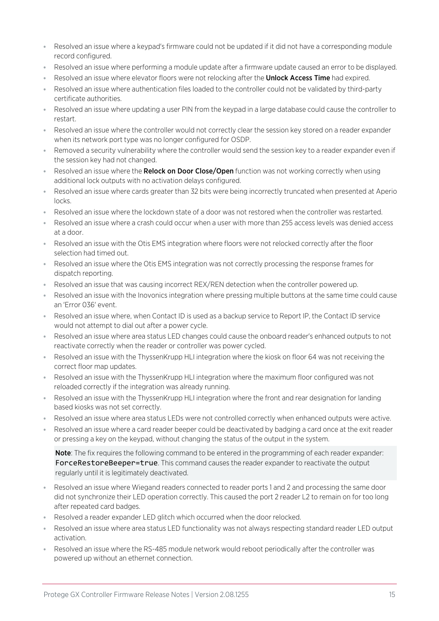- ⦁ Resolved an issue where a keypad's firmware could not be updated if it did not have a corresponding module record configured.
- ⦁ Resolved an issue where performing a module update after a firmware update caused an error to be displayed.
- Resolved an issue where elevator floors were not relocking after the **Unlock Access Time** had expired.
- ⦁ Resolved an issue where authentication files loaded to the controller could not be validated by third-party certificate authorities.
- ⦁ Resolved an issue where updating a user PIN from the keypad in a large database could cause the controller to restart.
- ⦁ Resolved an issue where the controller would not correctly clear the session key stored on a reader expander when its network port type was no longer configured for OSDP.
- Removed a security vulnerability where the controller would send the session key to a reader expander even if the session key had not changed.
- . Resolved an issue where the Relock on Door Close/Open function was not working correctly when using additional lock outputs with no activation delays configured.
- ⦁ Resolved an issue where cards greater than 32 bits were being incorrectly truncated when presented at Aperio locks.
- ⦁ Resolved an issue where the lockdown state of a door was not restored when the controller was restarted.
- ⦁ Resolved an issue where a crash could occur when a user with more than 255 access levels was denied access at a door.
- ⦁ Resolved an issue with the Otis EMS integration where floors were not relocked correctly after the floor selection had timed out.
- ⦁ Resolved an issue where the Otis EMS integration was not correctly processing the response frames for dispatch reporting.
- ⦁ Resolved an issue that was causing incorrect REX/REN detection when the controller powered up.
- ⦁ Resolved an issue with the Inovonics integration where pressing multiple buttons at the same time could cause an 'Error 036' event.
- ⦁ Resolved an issue where, when Contact ID is used as a backup service to Report IP, the Contact ID service would not attempt to dial out after a power cycle.
- ⦁ Resolved an issue where area status LED changes could cause the onboard reader's enhanced outputs to not reactivate correctly when the reader or controller was power cycled.
- ⦁ Resolved an issue with the ThyssenKrupp HLI integration where the kiosk on floor 64 was not receiving the correct floor map updates.
- Resolved an issue with the ThyssenKrupp HLI integration where the maximum floor configured was not reloaded correctly if the integration was already running.
- Resolved an issue with the ThyssenKrupp HLI integration where the front and rear designation for landing based kiosks was not set correctly.
- ⦁ Resolved an issue where area status LEDs were not controlled correctly when enhanced outputs were active.
- ⦁ Resolved an issue where a card reader beeper could be deactivated by badging a card once at the exit reader or pressing a key on the keypad, without changing the status of the output in the system.

Note: The fix requires the following command to be entered in the programming of each reader expander: ForceRestoreBeeper=true. This command causes the reader expander to reactivate the output regularly until it is legitimately deactivated.

- Resolved an issue where Wiegand readers connected to reader ports 1 and 2 and processing the same door did not synchronize their LED operation correctly. This caused the port 2 reader L2 to remain on for too long after repeated card badges.
- ⦁ Resolved a reader expander LED glitch which occurred when the door relocked.
- Resolved an issue where area status LED functionality was not always respecting standard reader LED output activation.
- Resolved an issue where the RS-485 module network would reboot periodically after the controller was powered up without an ethernet connection.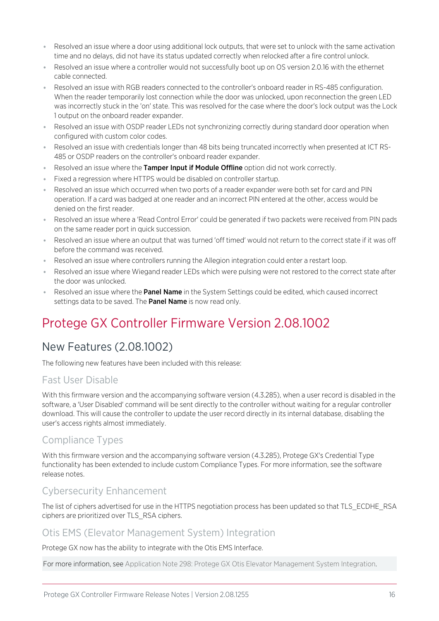- ⦁ Resolved an issue where a door using additional lock outputs, that were set to unlock with the same activation time and no delays, did not have its status updated correctly when relocked after a fire control unlock.
- Resolved an issue where a controller would not successfully boot up on OS version 2.0.16 with the ethernet cable connected.
- Resolved an issue with RGB readers connected to the controller's onboard reader in RS-485 configuration. When the reader temporarily lost connection while the door was unlocked, upon reconnection the green LED was incorrectly stuck in the 'on' state. This was resolved for the case where the door's lock output was the Lock 1 output on the onboard reader expander.
- ⦁ Resolved an issue with OSDP reader LEDs not synchronizing correctly during standard door operation when configured with custom color codes.
- Resolved an issue with credentials longer than 48 bits being truncated incorrectly when presented at ICT RS-485 or OSDP readers on the controller's onboard reader expander.
- Resolved an issue where the Tamper Input if Module Offline option did not work correctly.
- Fixed a regression where HTTPS would be disabled on controller startup.
- ⦁ Resolved an issue which occurred when two ports of a reader expander were both set for card and PIN operation. If a card was badged at one reader and an incorrect PIN entered at the other, access would be denied on the first reader.
- ⦁ Resolved an issue where a 'Read Control Error' could be generated if two packets were received from PIN pads on the same reader port in quick succession.
- ⦁ Resolved an issue where an output that was turned 'off timed' would not return to the correct state if it was off before the command was received.
- ⦁ Resolved an issue where controllers running the Allegion integration could enter a restart loop.
- ⦁ Resolved an issue where Wiegand reader LEDs which were pulsing were not restored to the correct state after the door was unlocked.
- <span id="page-15-0"></span>● Resolved an issue where the **Panel Name** in the System Settings could be edited, which caused incorrect settings data to be saved. The Panel Name is now read only.

# <span id="page-15-1"></span>New Features (2.08.1002)

The following new features have been included with this release:

### Fast User Disable

With this firmware version and the accompanying software version (4.3.285), when a user record is disabled in the software, a 'User Disabled' command will be sent directly to the controller without waiting for a regular controller download. This will cause the controller to update the user record directly in its internal database, disabling the user's access rights almost immediately.

## Compliance Types

With this firmware version and the accompanying software version (4.3.285), Protege GX's Credential Type functionality has been extended to include custom Compliance Types. For more information, see the software release notes.

### Cybersecurity Enhancement

The list of ciphers advertised for use in the HTTPS negotiation process has been updated so that TLS\_ECDHE\_RSA ciphers are prioritized over TLS\_RSA ciphers.

### Otis EMS (Elevator Management System) Integration

Protege GX now has the ability to integrate with the Otis EMS Interface.

For more information, see Application Note 298: Protege GX Otis Elevator Management System Integration.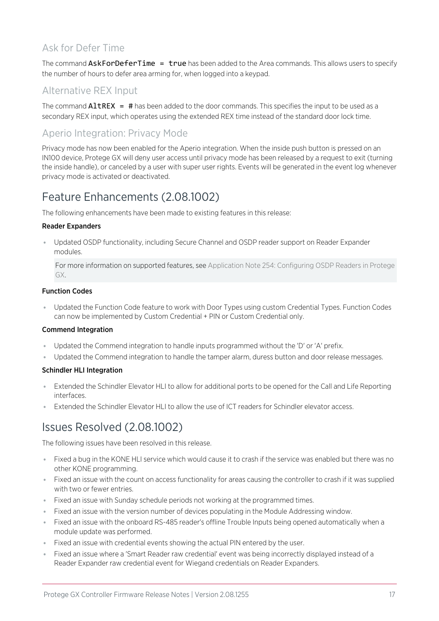### Ask for Defer Time

The command AskForDeferTime = true has been added to the Area commands. This allows users to specify the number of hours to defer area arming for, when logged into a keypad.

### Alternative REX Input

The command  $\text{Altrex} = #$  has been added to the door commands. This specifies the input to be used as a secondary REX input, which operates using the extended REX time instead of the standard door lock time.

### Aperio Integration: Privacy Mode

Privacy mode has now been enabled for the Aperio integration. When the inside push button is pressed on an IN100 device, Protege GX will deny user access until privacy mode has been released by a request to exit (turning the inside handle), or canceled by a user with super user rights. Events will be generated in the event log whenever privacy mode is activated or deactivated.

# <span id="page-16-0"></span>Feature Enhancements (2.08.1002)

The following enhancements have been made to existing features in this release:

#### Reader Expanders

⦁ Updated OSDP functionality, including Secure Channel and OSDP reader support on Reader Expander modules.

For more information on supported features, see Application Note 254: Configuring OSDP Readers in Protege GX.

#### Function Codes

⦁ Updated the Function Code feature to work with Door Types using custom Credential Types. Function Codes can now be implemented by Custom Credential + PIN or Custom Credential only.

#### Commend Integration

- ⦁ Updated the Commend integration to handle inputs programmed without the 'D' or 'A' prefix.
- ⦁ Updated the Commend integration to handle the tamper alarm, duress button and door release messages.

#### Schindler HLI Integration

- ⦁ Extended the Schindler Elevator HLI to allow for additional ports to be opened for the Call and Life Reporting interfaces.
- <span id="page-16-1"></span>⦁ Extended the Schindler Elevator HLI to allow the use of ICT readers for Schindler elevator access.

# Issues Resolved (2.08.1002)

The following issues have been resolved in this release.

- ⦁ Fixed a bug in the KONE HLI service which would cause it to crash if the service was enabled but there was no other KONE programming.
- ⦁ Fixed an issue with the count on access functionality for areas causing the controller to crash if it was supplied with two or fewer entries.
- ⦁ Fixed an issue with Sunday schedule periods not working at the programmed times.
- ⦁ Fixed an issue with the version number of devices populating in the Module Addressing window.
- ⦁ Fixed an issue with the onboard RS-485 reader's offline Trouble Inputs being opened automatically when a module update was performed.
- ⦁ Fixed an issue with credential events showing the actual PIN entered by the user.
- ⦁ Fixed an issue where a 'Smart Reader raw credential' event was being incorrectly displayed instead of a Reader Expander raw credential event for Wiegand credentials on Reader Expanders.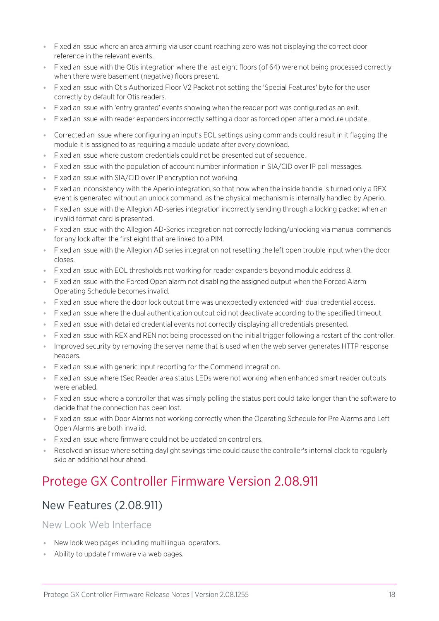- ⦁ Fixed an issue where an area arming via user count reaching zero was not displaying the correct door reference in the relevant events.
- ⦁ Fixed an issue with the Otis integration where the last eight floors (of 64) were not being processed correctly when there were basement (negative) floors present.
- ⦁ Fixed an issue with Otis Authorized Floor V2 Packet not setting the 'Special Features' byte for the user correctly by default for Otis readers.
- Fixed an issue with 'entry granted' events showing when the reader port was configured as an exit.
- Fixed an issue with reader expanders incorrectly setting a door as forced open after a module update.
- ⦁ Corrected an issue where configuring an input's EOL settings using commands could result in it flagging the module it is assigned to as requiring a module update after every download.
- ⦁ Fixed an issue where custom credentials could not be presented out of sequence.
- Fixed an issue with the population of account number information in SIA/CID over IP poll messages.
- ⦁ Fixed an issue with SIA/CID over IP encryption not working.
- ⦁ Fixed an inconsistency with the Aperio integration, so that now when the inside handle is turned only a REX event is generated without an unlock command, as the physical mechanism is internally handled by Aperio.
- ⦁ Fixed an issue with the Allegion AD-series integration incorrectly sending through a locking packet when an invalid format card is presented.
- ⦁ Fixed an issue with the Allegion AD-Series integration not correctly locking/unlocking via manual commands for any lock after the first eight that are linked to a PIM.
- ⦁ Fixed an issue with the Allegion AD series integration not resetting the left open trouble input when the door closes.
- ⦁ Fixed an issue with EOL thresholds not working for reader expanders beyond module address 8.
- Fixed an issue with the Forced Open alarm not disabling the assigned output when the Forced Alarm Operating Schedule becomes invalid.
- ⦁ Fixed an issue where the door lock output time was unexpectedly extended with dual credential access.
- Fixed an issue where the dual authentication output did not deactivate according to the specified timeout.
- Fixed an issue with detailed credential events not correctly displaying all credentials presented.
- Fixed an issue with REX and REN not being processed on the initial trigger following a restart of the controller.
- Improved security by removing the server name that is used when the web server generates HTTP response headers.
- ⦁ Fixed an issue with generic input reporting for the Commend integration.
- ⦁ Fixed an issue where tSec Reader area status LEDs were not working when enhanced smart reader outputs were enabled.
- ⦁ Fixed an issue where a controller that was simply polling the status port could take longer than the software to decide that the connection has been lost.
- ⦁ Fixed an issue with Door Alarms not working correctly when the Operating Schedule for Pre Alarms and Left Open Alarms are both invalid.
- Fixed an issue where firmware could not be updated on controllers.
- <span id="page-17-0"></span>⦁ Resolved an issue where setting daylight savings time could cause the controller's internal clock to regularly skip an additional hour ahead.

# <span id="page-17-1"></span>New Features (2.08.911)

New Look Web Interface

- ⦁ New look web pages including multilingual operators.
- ⦁ Ability to update firmware via web pages.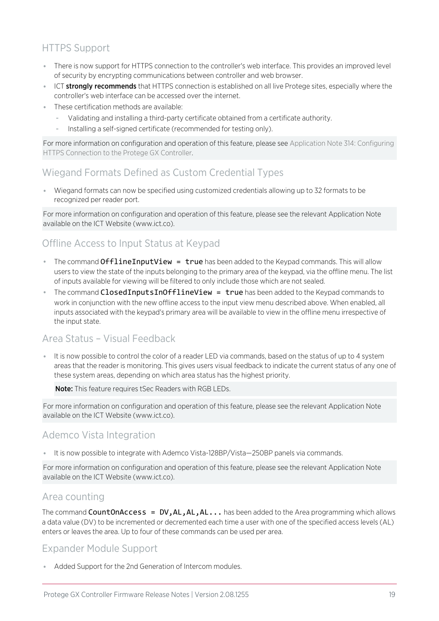## HTTPS Support

- ⦁ There is now support for HTTPS connection to the controller's web interface. This provides an improved level of security by encrypting communications between controller and web browser.
- **ICT stronaly recommends** that HTTPS connection is established on all live Protege sites, especially where the controller's web interface can be accessed over the internet.
- ⦁ These certification methods are available:
	- Validating and installing a third-party certificate obtained from a certificate authority.
	- Installing a self-signed certificate (recommended for testing only).

For more information on configuration and operation of this feature, please see Application Note 314: Configuring HTTPS Connection to the Protege GX Controller.

### Wiegand Formats Defined as Custom Credential Types

⦁ Wiegand formats can now be specified using customized credentials allowing up to 32 formats to be recognized per reader port.

For more information on configuration and operation of this feature, please see the relevant Application Note available on the ICT Website (www.ict.co).

### Offline Access to Input Status at Keypad

- The command OfflineInputView = true has been added to the Keypad commands. This will allow users to view the state of the inputs belonging to the primary area of the keypad, via the offline menu. The list of inputs available for viewing will be filtered to only include those which are not sealed.
- **The command ClosedInputsInOfflineView = true** has been added to the Keypad commands to work in conjunction with the new offline access to the input view menu described above. When enabled, all inputs associated with the keypad's primary area will be available to view in the offline menu irrespective of the input state.

### Area Status – Visual Feedback

⦁ It is now possible to control the color of a reader LED via commands, based on the status of up to 4 system areas that the reader is monitoring. This gives users visual feedback to indicate the current status of any one of these system areas, depending on which area status has the highest priority.

Note: This feature requires tSec Readers with RGB LEDs.

For more information on configuration and operation of this feature, please see the relevant Application Note available on the ICT Website (www.ict.co).

### Ademco Vista Integration

⦁ It is now possible to integrate with Ademco Vista-128BP/Vista—250BP panels via commands.

For more information on configuration and operation of this feature, please see the relevant Application Note available on the ICT Website (www.ict.co).

#### Area counting

The command CountOnAccess =  $DV, AL, AL, AL...$  has been added to the Area programming which allows a data value (DV) to be incremented or decremented each time a user with one of the specified access levels (AL) enters or leaves the area. Up to four of these commands can be used per area.

### Expander Module Support

⦁ Added Support for the 2nd Generation of Intercom modules.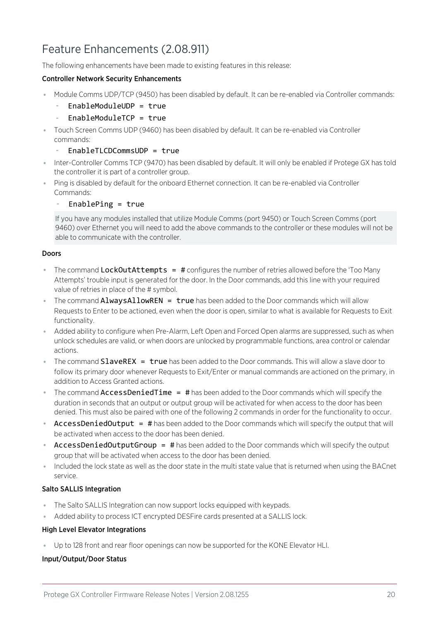# <span id="page-19-0"></span>Feature Enhancements (2.08.911)

The following enhancements have been made to existing features in this release:

#### Controller Network Security Enhancements

- ⦁ Module Comms UDP/TCP (9450) has been disabled by default. It can be re-enabled via Controller commands:
	- EnableModuleUDP = true
	- EnableModuleTCP = true
- ⦁ Touch Screen Comms UDP (9460) has been disabled by default. It can be re-enabled via Controller commands:
	- $EnableTLCDCommSIDP = true$
- ⦁ Inter-Controller Comms TCP (9470) has been disabled by default. It will only be enabled if Protege GX has told the controller it is part of a controller group.
- ⦁ Ping is disabled by default for the onboard Ethernet connection. It can be re-enabled via Controller Commands:
	- EnablePing =  $true$

If you have any modules installed that utilize Module Comms (port 9450) or Touch Screen Comms (port 9460) over Ethernet you will need to add the above commands to the controller or these modules will not be able to communicate with the controller.

#### Doors

- The command LockOutAttempts = # configures the number of retries allowed before the 'Too Many Attempts' trouble input is generated for the door. In the Door commands, add this line with your required value of retries in place of the # symbol.
- **The command AlwaysAllowREN = true** has been added to the Door commands which will allow Requests to Enter to be actioned, even when the door is open, similar to what is available for Requests to Exit functionality.
- Added ability to configure when Pre-Alarm, Left Open and Forced Open alarms are suppressed, such as when unlock schedules are valid, or when doors are unlocked by programmable functions, area control or calendar actions.
- **The command SlaveREX = true** has been added to the Door commands. This will allow a slave door to follow its primary door whenever Requests to Exit/Enter or manual commands are actioned on the primary, in addition to Access Granted actions.
- The command **AccessDeniedTime = #** has been added to the Door commands which will specify the duration in seconds that an output or output group will be activated for when access to the door has been denied. This must also be paired with one of the following 2 commands in order for the functionality to occur.
- AccessDeniedOutput = # has been added to the Door commands which will specify the output that will be activated when access to the door has been denied.
- AccessDeniedOutputGroup = # has been added to the Door commands which will specify the output group that will be activated when access to the door has been denied.
- ⦁ Included the lock state as well as the door state in the multi state value that is returned when using the BACnet service.

#### Salto SALLIS Integration

- ⦁ The Salto SALLIS Integration can now support locks equipped with keypads.
- ⦁ Added ability to process ICT encrypted DESFire cards presented at a SALLIS lock.

#### High Level Elevator Integrations

⦁ Up to 128 front and rear floor openings can now be supported for the KONE Elevator HLI.

#### Input/Output/Door Status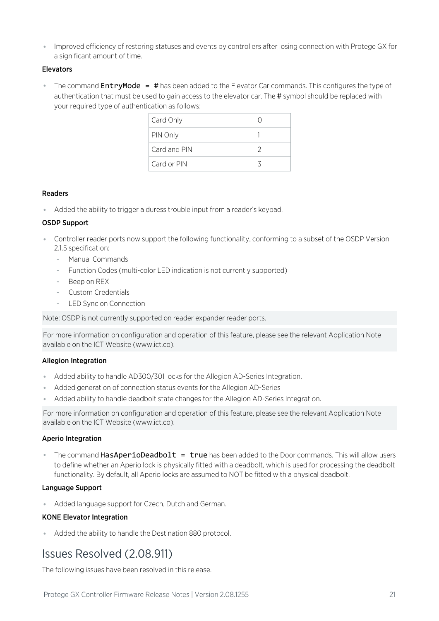⦁ Improved efficiency of restoring statuses and events by controllers after losing connection with Protege GX for a significant amount of time.

#### Elevators

**•** The command **EntryMode = #** has been added to the Elevator Car commands. This configures the type of authentication that must be used to gain access to the elevator car. The # symbol should be replaced with your required type of authentication as follows:

| Card Only    |               |
|--------------|---------------|
| PIN Only     |               |
| Card and PIN | $\mathcal{D}$ |
| Card or PIN  | マ             |

#### Readers

⦁ Added the ability to trigger a duress trouble input from a reader's keypad.

#### OSDP Support

- ⦁ Controller reader ports now support the following functionality, conforming to a subset of the OSDP Version 2.1.5 specification:
	- Manual Commands
	- Function Codes (multi-color LED indication is not currently supported)
	- Beep on REX
	- Custom Credentials
	- LED Sync on Connection

Note: OSDP is not currently supported on reader expander reader ports.

For more information on configuration and operation of this feature, please see the relevant Application Note available on the ICT Website (www.ict.co).

#### Allegion Integration

- ⦁ Added ability to handle AD300/301 locks for the Allegion AD-Series Integration.
- ⦁ Added generation of connection status events for the Allegion AD-Series
- ⦁ Added ability to handle deadbolt state changes for the Allegion AD-Series Integration.

For more information on configuration and operation of this feature, please see the relevant Application Note available on the ICT Website (www.ict.co).

#### Aperio Integration

• The command HasAperioDeadbolt = true has been added to the Door commands. This will allow users to define whether an Aperio lock is physically fitted with a deadbolt, which is used for processing the deadbolt functionality. By default, all Aperio locks are assumed to NOT be fitted with a physical deadbolt.

#### Language Support

⦁ Added language support for Czech, Dutch and German.

#### KONE Elevator Integration

<span id="page-20-0"></span>⦁ Added the ability to handle the Destination 880 protocol.

### Issues Resolved (2.08.911)

The following issues have been resolved in this release.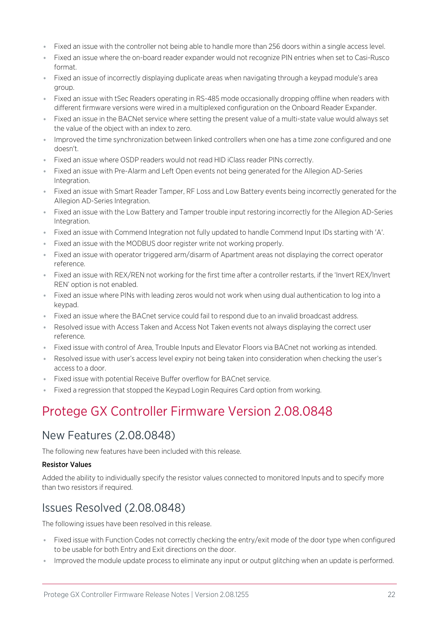- ⦁ Fixed an issue with the controller not being able to handle more than 256 doors within a single access level.
- ⦁ Fixed an issue where the on-board reader expander would not recognize PIN entries when set to Casi-Rusco format.
- ⦁ Fixed an issue of incorrectly displaying duplicate areas when navigating through a keypad module's area group.
- ⦁ Fixed an issue with tSec Readers operating in RS-485 mode occasionally dropping offline when readers with different firmware versions were wired in a multiplexed configuration on the Onboard Reader Expander.
- ⦁ Fixed an issue in the BACNet service where setting the present value of a multi-state value would always set the value of the object with an index to zero.
- ⦁ Improved the time synchronization between linked controllers when one has a time zone configured and one doesn't.
- ⦁ Fixed an issue where OSDP readers would not read HID iClass reader PINs correctly.
- ⦁ Fixed an issue with Pre-Alarm and Left Open events not being generated for the Allegion AD-Series Integration.
- ⦁ Fixed an issue with Smart Reader Tamper, RF Loss and Low Battery events being incorrectly generated for the Allegion AD-Series Integration.
- ⦁ Fixed an issue with the Low Battery and Tamper trouble input restoring incorrectly for the Allegion AD-Series Integration.
- ⦁ Fixed an issue with Commend Integration not fully updated to handle Commend Input IDs starting with 'A'.
- ⦁ Fixed an issue with the MODBUS door register write not working properly.
- ⦁ Fixed an issue with operator triggered arm/disarm of Apartment areas not displaying the correct operator reference.
- ⦁ Fixed an issue with REX/REN not working for the first time after a controller restarts, if the 'Invert REX/Invert REN' option is not enabled.
- ⦁ Fixed an issue where PINs with leading zeros would not work when using dual authentication to log into a keypad.
- ⦁ Fixed an issue where the BACnet service could fail to respond due to an invalid broadcast address.
- ⦁ Resolved issue with Access Taken and Access Not Taken events not always displaying the correct user reference.
- ⦁ Fixed issue with control of Area, Trouble Inputs and Elevator Floors via BACnet not working as intended.
- ⦁ Resolved issue with user's access level expiry not being taken into consideration when checking the user's access to a door.
- ⦁ Fixed issue with potential Receive Buffer overflow for BACnet service.
- <span id="page-21-0"></span>⦁ Fixed a regression that stopped the Keypad Login Requires Card option from working.

## <span id="page-21-1"></span>New Features (2.08.0848)

The following new features have been included with this release.

#### Resistor Values

<span id="page-21-2"></span>Added the ability to individually specify the resistor values connected to monitored Inputs and to specify more than two resistors if required.

## Issues Resolved (2.08.0848)

The following issues have been resolved in this release.

- ⦁ Fixed issue with Function Codes not correctly checking the entry/exit mode of the door type when configured to be usable for both Entry and Exit directions on the door.
- Improved the module update process to eliminate any input or output glitching when an update is performed.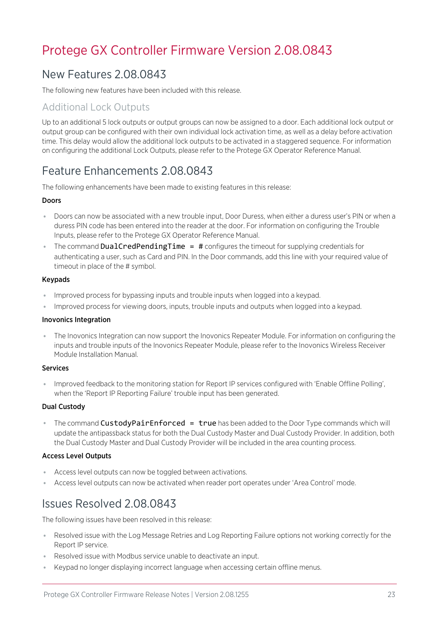# <span id="page-22-1"></span><span id="page-22-0"></span>New Features 2.08.0843

The following new features have been included with this release.

### Additional Lock Outputs

Up to an additional 5 lock outputs or output groups can now be assigned to a door. Each additional lock output or output group can be configured with their own individual lock activation time, as well as a delay before activation time. This delay would allow the additional lock outputs to be activated in a staggered sequence. For information on configuring the additional Lock Outputs, please refer to the Protege GX Operator Reference Manual.

# <span id="page-22-2"></span>Feature Enhancements 2.08.0843

The following enhancements have been made to existing features in this release:

#### Doors

- ⦁ Doors can now be associated with a new trouble input, Door Duress, when either a duress user's PIN or when a duress PIN code has been entered into the reader at the door. For information on configuring the Trouble Inputs, please refer to the Protege GX Operator Reference Manual.
- The command DualCredPendingTime = # configures the timeout for supplying credentials for authenticating a user, such as Card and PIN. In the Door commands, add this line with your required value of timeout in place of the # symbol.

#### Keypads

- ⦁ Improved process for bypassing inputs and trouble inputs when logged into a keypad.
- Improved process for viewing doors, inputs, trouble inputs and outputs when logged into a keypad.

#### Inovonics Integration

⦁ The Inovonics Integration can now support the Inovonics Repeater Module. For information on configuring the inputs and trouble inputs of the Inovonics Repeater Module, please refer to the Inovonics Wireless Receiver Module Installation Manual.

#### **Services**

⦁ Improved feedback to the monitoring station for Report IP services configured with 'Enable Offline Polling', when the 'Report IP Reporting Failure' trouble input has been generated.

#### Dual Custody

• The command CustodyPairEnforced = true has been added to the Door Type commands which will update the antipassback status for both the Dual Custody Master and Dual Custody Provider. In addition, both the Dual Custody Master and Dual Custody Provider will be included in the area counting process.

#### Access Level Outputs

- ⦁ Access level outputs can now be toggled between activations.
- <span id="page-22-3"></span>⦁ Access level outputs can now be activated when reader port operates under 'Area Control' mode.

## Issues Resolved 2.08.0843

The following issues have been resolved in this release:

- ⦁ Resolved issue with the Log Message Retries and Log Reporting Failure options not working correctly for the Report IP service.
- ⦁ Resolved issue with Modbus service unable to deactivate an input.
- ⦁ Keypad no longer displaying incorrect language when accessing certain offline menus.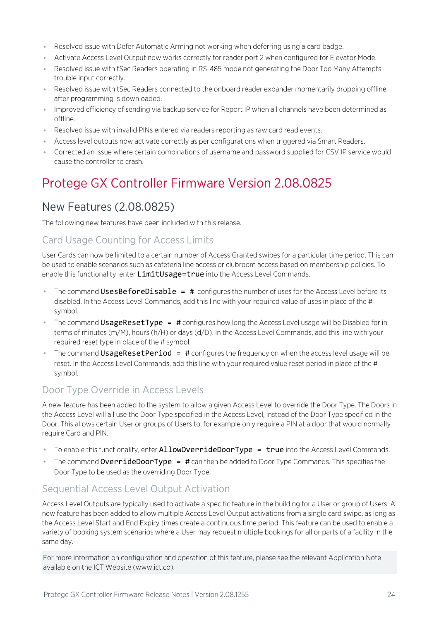- ⦁ Resolved issue with Defer Automatic Arming not working when deferring using a card badge.
- ⦁ Activate Access Level Output now works correctly for reader port 2 when configured for Elevator Mode.
- ⦁ Resolved issue with tSec Readers operating in RS-485 mode not generating the Door Too Many Attempts trouble input correctly.
- ⦁ Resolved issue with tSec Readers connected to the onboard reader expander momentarily dropping offline after programming is downloaded.
- ⦁ Improved efficiency of sending via backup service for Report IP when all channels have been determined as offline.
- ⦁ Resolved issue with invalid PINs entered via readers reporting as raw card read events.
- ⦁ Access level outputs now activate correctly as per configurations when triggered via Smart Readers.
- <span id="page-23-0"></span>⦁ Corrected an issue where certain combinations of username and password supplied for CSV IP service would cause the controller to crash.

# <span id="page-23-1"></span>New Features (2.08.0825)

The following new features have been included with this release.

### Card Usage Counting for Access Limits

User Cards can now be limited to a certain number of Access Granted swipes for a particular time period. This can be used to enable scenarios such as cafeteria line access or clubroom access based on membership policies. To enable this functionality, enter LimitUsage=true into the Access Level Commands.

- The command UsesBeforeDisable  $=$  # configures the number of uses for the Access Level before its disabled. In the Access Level Commands, add this line with your required value of uses in place of the # symbol.
- The command **UsageResetType = #** configures how long the Access Level usage will be Disabled for in terms of minutes (m/M), hours (h/H) or days (d/D). In the Access Level Commands, add this line with your required reset type in place of the # symbol.
- The command UsageResetPeriod  $=$  # configures the frequency on when the access level usage will be reset. In the Access Level Commands, add this line with your required value reset period in place of the # symbol.

### Door Type Override in Access Levels

A new feature has been added to the system to allow a given Access Level to override the Door Type. The Doors in the Access Level will all use the Door Type specified in the Access Level, instead of the Door Type specified in the Door. This allows certain User or groups of Users to, for example only require a PIN at a door that would normally require Card and PIN.

- $\bullet$  To enable this functionality, enter  $\text{AllowOverrideDoorType} = \text{true}$  into the Access Level Commands.
- **The command OverrideDoorType =**  $\#$  can then be added to Door Type Commands. This specifies the Door Type to be used as the overriding Door Type.

### Sequential Access Level Output Activation

Access Level Outputs are typically used to activate a specific feature in the building for a User or group of Users. A new feature has been added to allow multiple Access Level Output activations from a single card swipe, as long as the Access Level Start and End Expiry times create a continuous time period. This feature can be used to enable a variety of booking system scenarios where a User may request multiple bookings for all or parts of a facility in the same day.

For more information on configuration and operation of this feature, please see the relevant Application Note available on the ICT Website (www.ict.co).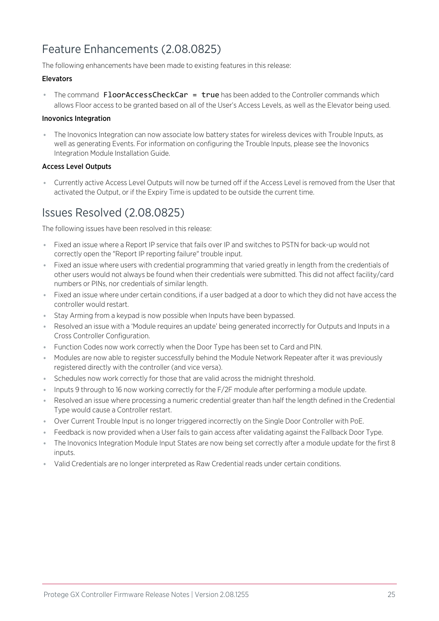# <span id="page-24-0"></span>Feature Enhancements (2.08.0825)

The following enhancements have been made to existing features in this release:

#### Elevators

• The command **FloorAccessCheckCar = true** has been added to the Controller commands which allows Floor access to be granted based on all of the User's Access Levels, as well as the Elevator being used.

#### Inovonics Integration

⦁ The Inovonics Integration can now associate low battery states for wireless devices with Trouble Inputs, as well as generating Events. For information on configuring the Trouble Inputs, please see the Inovonics Integration Module Installation Guide.

#### Access Level Outputs

<span id="page-24-1"></span>⦁ Currently active Access Level Outputs will now be turned off if the Access Level is removed from the User that activated the Output, or if the Expiry Time is updated to be outside the current time.

# Issues Resolved (2.08.0825)

The following issues have been resolved in this release:

- ⦁ Fixed an issue where a Report IP service that fails over IP and switches to PSTN for back-up would not correctly open the "Report IP reporting failure" trouble input.
- ⦁ Fixed an issue where users with credential programming that varied greatly in length from the credentials of other users would not always be found when their credentials were submitted. This did not affect facility/card numbers or PINs, nor credentials of similar length.
- ⦁ Fixed an issue where under certain conditions, if a user badged at a door to which they did not have access the controller would restart.
- ⦁ Stay Arming from a keypad is now possible when Inputs have been bypassed.
- ⦁ Resolved an issue with a 'Module requires an update' being generated incorrectly for Outputs and Inputs in a Cross Controller Configuration.
- ⦁ Function Codes now work correctly when the Door Type has been set to Card and PIN.
- ⦁ Modules are now able to register successfully behind the Module Network Repeater after it was previously registered directly with the controller (and vice versa).
- Schedules now work correctly for those that are valid across the midnight threshold.
- ⦁ Inputs 9 through to 16 now working correctly for the F/2F module after performing a module update.
- ⦁ Resolved an issue where processing a numeric credential greater than half the length defined in the Credential Type would cause a Controller restart.
- ⦁ Over Current Trouble Input is no longer triggered incorrectly on the Single Door Controller with PoE.
- Feedback is now provided when a User fails to gain access after validating against the Fallback Door Type.
- ⦁ The Inovonics Integration Module Input States are now being set correctly after a module update for the first 8 inputs.
- ⦁ Valid Credentials are no longer interpreted as Raw Credential reads under certain conditions.